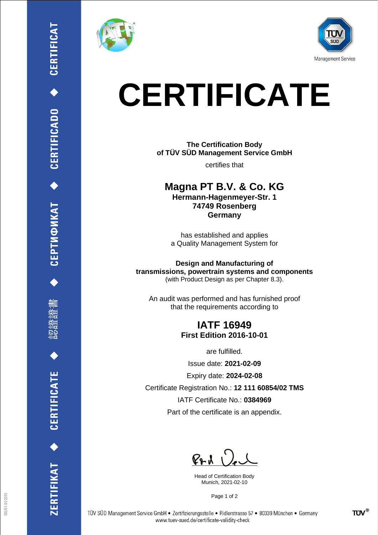

刪





# **CERTIFICATE**

**The Certification Body of TÜV SÜD Management Service GmbH**

certifies that

**Magna PT B.V. & Co. KG Hermann-Hagenmeyer-Str. 1 74749 Rosenberg Germany**

has established and applies a Quality Management System for

**Design and Manufacturing of transmissions, powertrain systems and components** (with Product Design as per Chapter 8.3).

An audit was performed and has furnished proof that the requirements according to

### **IATF 16949 First Edition 2016-10-01**

are fulfilled.

Issue date: **2021-02-09**

Expiry date: **2024-02-08**

Certificate Registration No.: **12 111 60854/02 TMS**

IATF Certificate No.: **0384969**

Part of the certificate is an appendix.

 $P+A$ 

Head of Certification Body Munich, 2021-02-10

Page 1 of 2

TÜV SÜD Management Service GmbH · Zertifizierungsstelle · Ridlerstrasse 57 · 80339 München · Germany www.tuev-sued.de/certificate-validity-check